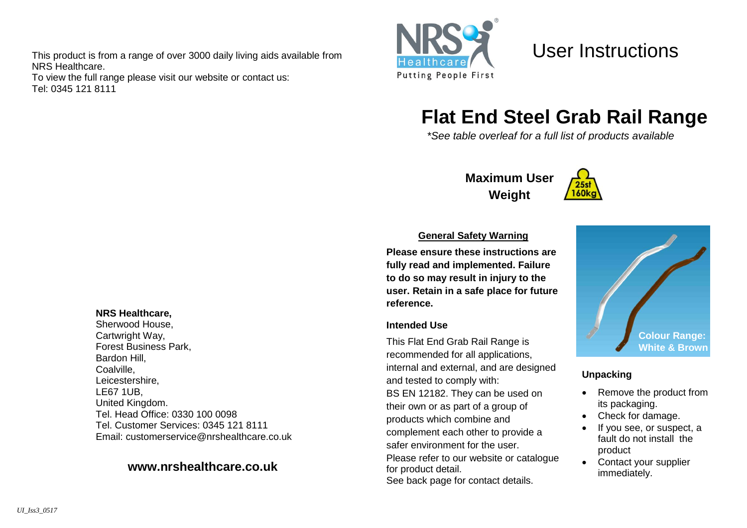This product is from a range of over 3000 daily living aids available from NRS Healthcare.

To view the full range please visit our website or contact us: Tel: 0345 121 8111



User Instructions

# **Flat End Steel Grab Rail Range**

*\*See table overleaf for a full list of products available*

## **Maximum User Weight**



#### **General Safety Warning**

**Please ensure these instructions are fully read and implemented. Failure to do so may result in injury to the user. Retain in a safe place for future reference.**

#### **Intended Use**

This Flat End Grab Rail Range is recommended for all applications, internal and external, and are designed and tested to comply with: BS EN 12182. They can be used on their own or as part of a group of products which combine and complement each other to provide a safer environment for the user. Please refer to our website or catalogue for product detail. See back page for contact details.



## **Unpacking**

- Remove the product from its packaging.
- Check for damage.
- If you see, or suspect, a fault do not install the product
- Contact your supplier immediately.

#### **NRS Healthcare,**

Sherwood House, Cartwright Way, Forest Business Park, Bardon Hill, Coalville, Leicestershire, LE67 1UB, United Kingdom. Tel. Head Office: 0330 100 0098 Tel. Customer Services: 0345 121 8111 Email: [customerservice@nrshealthcare.co.uk](mailto:customerservice@nrshealthcare.co.uk)

## **[www.nrshealthcare.co.uk](http://www.nrshealthcare.co.uk/)**